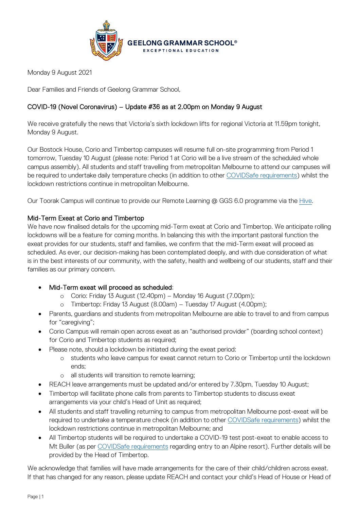

Monday 9 August 2021

Dear Families and Friends of Geelong Grammar School,

## COVID-19 (Novel Coronavirus) – Update #36 as at 2.00pm on Monday 9 August

We receive gratefully the news that Victoria's sixth lockdown lifts for regional Victoria at 11.59pm tonight, Monday 9 August.

Our Bostock House, Corio and Timbertop campuses will resume full on-site programming from Period 1 tomorrow, Tuesday 10 August (please note: Period 1 at Corio will be a live stream of the scheduled whole campus assembly). All students and staff travelling from metropolitan Melbourne to attend our campuses will be required to undertake daily temperature checks (in addition to other [COVIDSafe requirements\)](https://www.premier.vic.gov.au/sites/default/files/2021-08/210809%20-%20Restriction%20Changes.pdf) whilst the lockdown restrictions continue in metropolitan Melbourne.

Our Toorak Campus will continue to provide our Remote Learning @ GGS 6.0 programme via the [Hive.](https://hive.ggs.vic.edu.au/)

## Mid-Term Exeat at Corio and Timbertop

We have now finalised details for the upcoming mid-Term exeat at Corio and Timbertop. We anticipate rolling lockdowns will be a feature for coming months. In balancing this with the important pastoral function the exeat provides for our students, staff and families, we confirm that the mid-Term exeat will proceed as scheduled. As ever, our decision-making has been contemplated deeply, and with due consideration of what is in the best interests of our community, with the safety, health and wellbeing of our students, staff and their families as our primary concern.

- Mid-Term exeat will proceed as scheduled:
	- o Corio: Friday 13 August (12.40pm) Monday 16 August (7.00pm);
	- o Timbertop: Friday 13 August (8.00am) Tuesday 17 August (4.00pm);
- Parents, guardians and students from metropolitan Melbourne are able to travel to and from campus for "caregiving";
- Corio Campus will remain open across exeat as an "authorised provider" (boarding school context) for Corio and Timbertop students as required;
- Please note, should a lockdown be initiated during the exeat period:
	- o students who leave campus for exeat cannot return to Corio or Timbertop until the lockdown ends;
	- o all students will transition to remote learning;
- REACH leave arrangements must be updated and/or entered by 7.30pm, Tuesday 10 August;
- Timbertop will facilitate phone calls from parents to Timbertop students to discuss exeat arrangements via your child's Head of Unit as required;
- All students and staff travelling returning to campus from metropolitan Melbourne post-exeat will be required to undertake a temperature check (in addition to other [COVIDSafe requirements\)](https://www.premier.vic.gov.au/sites/default/files/2021-08/210809%20-%20Restriction%20Changes.pdf) whilst the lockdown restrictions continue in metropolitan Melbourne; and
- All Timbertop students will be required to undertake a COVID-19 test post-exeat to enable access to Mt Buller (as per [COVIDSafe requirements](https://www.premier.vic.gov.au/sites/default/files/2021-08/210809%20-%20Restriction%20Changes.pdf) regarding entry to an Alpine resort). Further details will be provided by the Head of Timbertop.

We acknowledge that families will have made arrangements for the care of their child/children across exeat. If that has changed for any reason, please update REACH and contact your child's Head of House or Head of